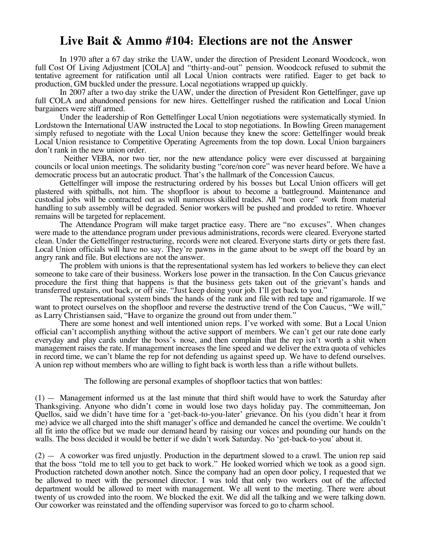## **Live Bait & Ammo #104: Elections are not the Answer**

In 1970 after a 67 day strike the UAW, under the direction of President Leonard Woodcock, won full Cost Of Living Adjustment [COLA] and "thirty-and-out" pension. Woodcock refused to submit the tentative agreement for ratification until all Local Union contracts were ratified. Eager to get back to production, GM buckled under the pressure. Local negotiations wrapped up quickly.

In 2007 after a two day strike the UAW, under the direction of President Ron Gettelfinger, gave up full COLA and abandoned pensions for new hires. Gettelfinger rushed the ratification and Local Union bargainers were stiff armed.

Under the leadership of Ron Gettelfinger Local Union negotiations were systematically stymied. In Lordstown the International UAW instructed the Local to stop negotiations. In Bowling Green management simply refused to negotiate with the Local Union because they knew the score: Gettelfinger would break Local Union resistance to Competitive Operating Agreements from the top down. Local Union bargainers don't rank in the new union order.

Neither VEBA, nor two tier, nor the new attendance policy were ever discussed at bargaining councils or local union meetings. The solidarity busting "core/non core" was never heard before. We have a democratic process but an autocratic product. That's the hallmark of the Concession Caucus.

Gettelfinger will impose the restructuring ordered by his bosses but Local Union officers will get plastered with spitballs, not him. The shopfloor is about to become a battleground. Maintenance and custodial jobs will be contracted out as will numerous skilled trades. All "non core" work from material handling to sub assembly will be degraded. Senior workers will be pushed and prodded to retire. Whoever remains will be targeted for replacement.

The Attendance Program will make target practice easy. There are "no excuses". When changes were made to the attendance program under previous administrations, records were cleared. Everyone started clean. Under the Gettelfinger restructuring, records were not cleared. Everyone starts dirty or gets there fast. Local Union officials will have no say. They're pawns in the game about to be swept off the board by an angry rank and file. But elections are not the answer.

The problem with unions is that the representational system has led workers to believe they can elect someone to take care of their business. Workers lose power in the transaction. In the Con Caucus grievance procedure the first thing that happens is that the business gets taken out of the grievant's hands and transferred upstairs, out back, or off site. "Just keep doing your job. I'll get back to you."

The representational system binds the hands of the rank and file with red tape and rigamarole. If we want to protect ourselves on the shopfloor and reverse the destructive trend of the Con Caucus, "We will," as Larry Christiansen said, "Have to organize the ground out from under them."

There are some honest and well intentioned union reps. I've worked with some. But a Local Union official can't accomplish anything without the active support of members. We can't get our rate done early everyday and play cards under the boss's nose, and then complain that the rep isn't worth a shit when management raises the rate. If management increases the line speed and we deliver the extra quota of vehicles in record time, we can't blame the rep for not defending us against speed up. We have to defend ourselves. A union rep without members who are willing to fight back is worth less than a rifle without bullets.

The following are personal examples of shopfloor tactics that won battles:

(1) — Management informed us at the last minute that third shift would have to work the Saturday after Thanksgiving. Anyone who didn't come in would lose two days holiday pay. The committeeman, Jon Quellos, said we didn't have time for a 'get-back-to-you-later' grievance. On his (you didn't hear it from me) advice we all charged into the shift manager's office and demanded he cancel the overtime. We couldn't all fit into the office but we made our demand heard by raising our voices and pounding our hands on the walls. The boss decided it would be better if we didn't work Saturday. No 'get-back-to-you' about it.

 $(2)$  — A coworker was fired unjustly. Production in the department slowed to a crawl. The union rep said that the boss "told me to tell you to get back to work." He looked worried which we took as a good sign. Production ratcheted down another notch. Since the company had an open door policy, I requested that we be allowed to meet with the personnel director. I was told that only two workers out of the affected department would be allowed to meet with management. We all went to the meeting. There were about twenty of us crowded into the room. We blocked the exit. We did all the talking and we were talking down. Our coworker was reinstated and the offending supervisor was forced to go to charm school.